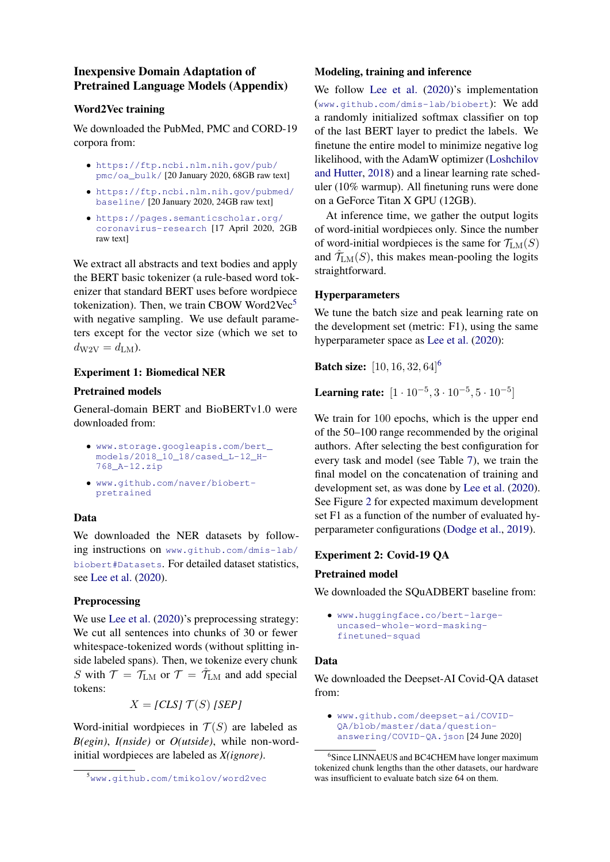# Inexpensive Domain Adaptation of Pretrained Language Models (Appendix)

## Word2Vec training

We downloaded the PubMed, PMC and CORD-19 corpora from:

- [https://ftp.ncbi.nlm.nih.gov/pub/](https://ftp.ncbi.nlm.nih.gov/pub/pmc/oa_bulk/) [pmc/oa\\_bulk/](https://ftp.ncbi.nlm.nih.gov/pub/pmc/oa_bulk/) [20 January 2020, 68GB raw text]
- [https://ftp.ncbi.nlm.nih.gov/pubmed/](https://ftp.ncbi.nlm.nih.gov/pubmed/baseline/) [baseline/](https://ftp.ncbi.nlm.nih.gov/pubmed/baseline/) [20 January 2020, 24GB raw text]
- [https://pages.semanticscholar.org/](https://pages.semanticscholar.org/coronavirus-research) [coronavirus-research](https://pages.semanticscholar.org/coronavirus-research) [17 April 2020, 2GB raw text]

We extract all abstracts and text bodies and apply the BERT basic tokenizer (a rule-based word tokenizer that standard BERT uses before wordpiece tokenization). Then, we train CBOW Word2Vec $5$ with negative sampling. We use default parameters except for the vector size (which we set to  $d_{\rm W2V} = d_{\rm LM}$ ).

## Experiment 1: Biomedical NER

### Pretrained models

General-domain BERT and BioBERTv1.0 were downloaded from:

- [www.storage.googleapis.com/bert\\_](www.storage.googleapis.com/bert_models/2018_10_18/cased_L-12_H-768_A-12.zip) [models/2018\\_10\\_18/cased\\_L-12\\_H-](www.storage.googleapis.com/bert_models/2018_10_18/cased_L-12_H-768_A-12.zip)[768\\_A-12.zip](www.storage.googleapis.com/bert_models/2018_10_18/cased_L-12_H-768_A-12.zip)
- [www.github.com/naver/biobert](www.github.com/naver/biobert-pretrained)[pretrained](www.github.com/naver/biobert-pretrained)

# Data

We downloaded the NER datasets by following instructions on [www.github.com/dmis-lab/](www.github.com/dmis-lab/biobert#Datasets) [biobert#Datasets](www.github.com/dmis-lab/biobert#Datasets). For detailed dataset statistics, see [Lee et al.](#page--1-0) [\(2020\)](#page--1-0).

# Preprocessing

We use [Lee et al.](#page--1-0)  $(2020)$ 's preprocessing strategy: We cut all sentences into chunks of 30 or fewer whitespace-tokenized words (without splitting inside labeled spans). Then, we tokenize every chunk S with  $\mathcal{T} = \mathcal{T}_{LM}$  or  $\mathcal{T} = \hat{\mathcal{T}}_{LM}$  and add special tokens:

 $X = [CLS] T(S) [SEP]$ 

Word-initial wordpieces in  $T(S)$  are labeled as *B(egin)*, *I(nside)* or *O(utside)*, while non-wordinitial wordpieces are labeled as *X(ignore)*.

## Modeling, training and inference

We follow [Lee et al.](#page--1-0) [\(2020\)](#page--1-0)'s implementation (<www.github.com/dmis-lab/biobert>): We add a randomly initialized softmax classifier on top of the last BERT layer to predict the labels. We finetune the entire model to minimize negative log likelihood, with the AdamW optimizer [\(Loshchilov](#page--1-1) [and Hutter,](#page--1-1) [2018\)](#page--1-1) and a linear learning rate scheduler (10% warmup). All finetuning runs were done on a GeForce Titan X GPU (12GB).

At inference time, we gather the output logits of word-initial wordpieces only. Since the number of word-initial wordpieces is the same for  $\mathcal{T}_{LM}(S)$ and  $\hat{\mathcal{T}}_{LM}(S)$ , this makes mean-pooling the logits straightforward.

### Hyperparameters

We tune the batch size and peak learning rate on the development set (metric: F1), using the same hyperparameter space as [Lee et al.](#page--1-0) [\(2020\)](#page--1-0):

**Batch size:** [10, 1[6](#page-0-1), 32, 64]<sup>6</sup>

Learning rate:  $[1 \cdot 10^{-5}, 3 \cdot 10^{-5}, 5 \cdot 10^{-5}]$ 

We train for 100 epochs, which is the upper end of the 50–100 range recommended by the original authors. After selecting the best configuration for every task and model (see Table [7\)](#page-2-0), we train the final model on the concatenation of training and development set, as was done by [Lee et al.](#page--1-0) [\(2020\)](#page--1-0). See Figure [2](#page-2-1) for expected maximum development set F1 as a function of the number of evaluated hyperparameter configurations [\(Dodge et al.,](#page--1-2) [2019\)](#page--1-2).

### Experiment 2: Covid-19 QA

### Pretrained model

We downloaded the SOuADBERT baseline from:

• [www.huggingface.co/bert-large](www.huggingface.co/bert-large-uncased-whole-word-masking-finetuned-squad)[uncased-whole-word-masking](www.huggingface.co/bert-large-uncased-whole-word-masking-finetuned-squad)[finetuned-squad](www.huggingface.co/bert-large-uncased-whole-word-masking-finetuned-squad)

### Data

We downloaded the Deepset-AI Covid-QA dataset from:

<span id="page-0-0"></span><sup>5</sup><www.github.com/tmikolov/word2vec>

<sup>•</sup> [www.github.com/deepset-ai/COVID-](www.github.com/deepset-ai/COVID-QA/blob/master/data/question-answering/COVID-QA.json)[QA/blob/master/data/question](www.github.com/deepset-ai/COVID-QA/blob/master/data/question-answering/COVID-QA.json)[answering/COVID-QA.json](www.github.com/deepset-ai/COVID-QA/blob/master/data/question-answering/COVID-QA.json) [24 June 2020]

<span id="page-0-1"></span><sup>6</sup> Since LINNAEUS and BC4CHEM have longer maximum tokenized chunk lengths than the other datasets, our hardware was insufficient to evaluate batch size 64 on them.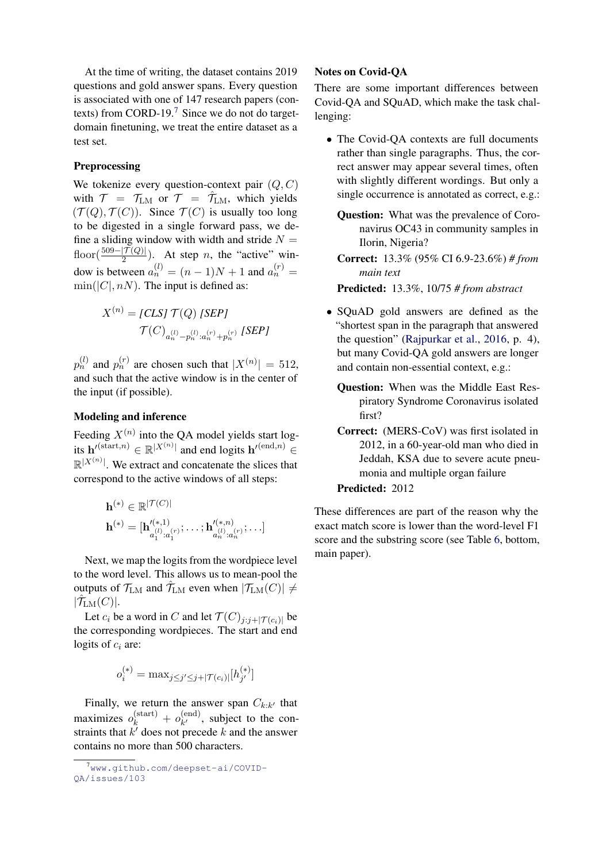At the time of writing, the dataset contains 2019 questions and gold answer spans. Every question is associated with one of 147 research papers (contexts) from CORD-19.[7](#page-1-0) Since we do not do targetdomain finetuning, we treat the entire dataset as a test set.

#### Preprocessing

We tokenize every question-context pair  $(Q, C)$ with  $T = T_{LM}$  or  $T = \hat{T}_{LM}$ , which yields  $(\mathcal{T}(Q), \mathcal{T}(C))$ . Since  $\mathcal{T}(C)$  is usually too long to be digested in a single forward pass, we define a sliding window with width and stride  $N =$ floor( $\frac{509 - |{\mathcal{T}}(Q)|}{2}$ ). At step *n*, the "active" window is between  $a_n^{(l)} = (n-1)N + 1$  and  $a_n^{(r)} =$  $\min(|C|, nN)$ . The input is defined as:

$$
X^{(n)} = [CLS] \mathcal{T}(Q) [SEP]
$$

$$
\mathcal{T}(C)_{a_n^{(l)} - p_n^{(l)} : a_n^{(r)} + p_n^{(r)}} [SEP]
$$

 $p_n^{(l)}$  and  $p_n^{(r)}$  are chosen such that  $|X^{(n)}| = 512$ , and such that the active window is in the center of the input (if possible).

#### Modeling and inference

Feeding  $X^{(n)}$  into the QA model yields start logits  $\mathbf{h}'^{(\text{start},n)} \in \mathbb{R}^{|X^{(n)}|}$  and end logits  $\mathbf{h}'^{(\text{end},n)} \in$  $\mathbb{R}^{|X^{(n)}|}$ . We extract and concatenate the slices that correspond to the active windows of all steps:

$$
\mathbf{h}^{(*)} \in \mathbb{R}^{|\mathcal{T}(C)|}
$$

$$
\mathbf{h}^{(*)} = [\mathbf{h}'^{(*,1)}_{a_1^{(l)}:a_1^{(r)}}; \dots; \mathbf{h}'^{(*,n)}_{a_n^{(l)}:a_n^{(r)}}; \dots]
$$

Next, we map the logits from the wordpiece level to the word level. This allows us to mean-pool the outputs of  $\mathcal{T}_{LM}$  and  $\hat{\mathcal{T}}_{LM}$  even when  $|\mathcal{T}_{LM}(C)| \neq$  $|\hat{\mathcal{T}}_{\text{LM}}(C)|.$ 

Let  $c_i$  be a word in C and let  $\mathcal{T}(C)_{j:j+|\mathcal{T}(c_i)|}$  be the corresponding wordpieces. The start and end logits of  $c_i$  are:

$$
o_i^{(*)} = \max_{j \le j' \le j + |\mathcal{T}(c_i)|} [h_{j'}^{(*)}]
$$

Finally, we return the answer span  $C_{k:k'}$  that maximizes  $o_k^{\text{(start)}} + o_{k'}^{\text{(end)}}$  $k^{(enq)}$ , subject to the constraints that  $k'$  does not precede k and the answer contains no more than 500 characters.

#### Notes on Covid-QA

There are some important differences between Covid-QA and SQuAD, which make the task challenging:

• The Covid-QA contexts are full documents rather than single paragraphs. Thus, the correct answer may appear several times, often with slightly different wordings. But only a single occurrence is annotated as correct, e.g.:

Question: What was the prevalence of Coronavirus OC43 in community samples in Ilorin, Nigeria?

Correct: 13.3% (95% CI 6.9-23.6%) *# from main text*

Predicted: 13.3%, 10/75 *# from abstract*

- SQuAD gold answers are defined as the "shortest span in the paragraph that answered the question" [\(Rajpurkar et al.,](#page--1-3) [2016,](#page--1-3) p. 4), but many Covid-QA gold answers are longer and contain non-essential context, e.g.:
	- Question: When was the Middle East Respiratory Syndrome Coronavirus isolated first?
	- Correct: (MERS-CoV) was first isolated in 2012, in a 60-year-old man who died in Jeddah, KSA due to severe acute pneumonia and multiple organ failure Predicted: 2012

These differences are part of the reason why the exact match score is lower than the word-level F1 score and the substring score (see Table [6,](#page--1-4) bottom, main paper).

<span id="page-1-0"></span> $7$ www.qithub.com/deepset-ai/COVID-[QA/issues/103](www.github.com/deepset-ai/COVID-QA/issues/103)